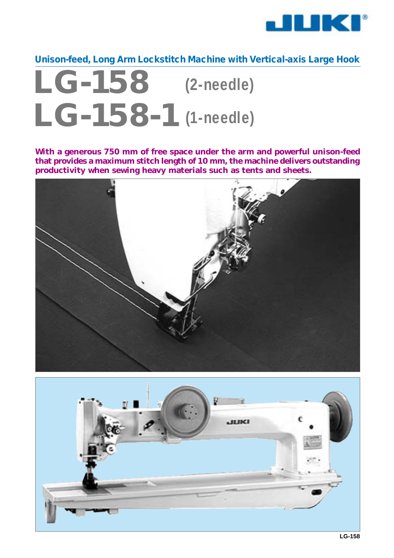

**Unison-feed, Long Arm Lockstitch Machine with Vertical-axis Large Hook**

## **LG-158 LG-158-1 (2-needle) (1-needle)**

**With a generous 750 mm of free space under the arm and powerful unison-feed that provides a maximum stitch length of 10 mm, the machine delivers outstanding productivity when sewing heavy materials such as tents and sheets.**